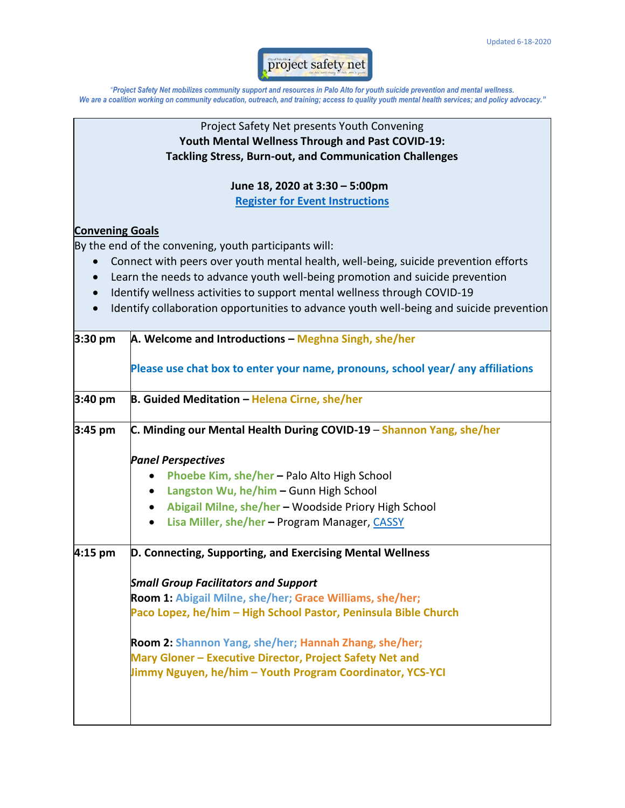

"*Project Safety Net mobilizes community support and resources in Palo Alto for youth suicide prevention and mental wellness. We are a coalition working on community education, outreach, and training; access to quality youth mental health services; and policy advocacy."*